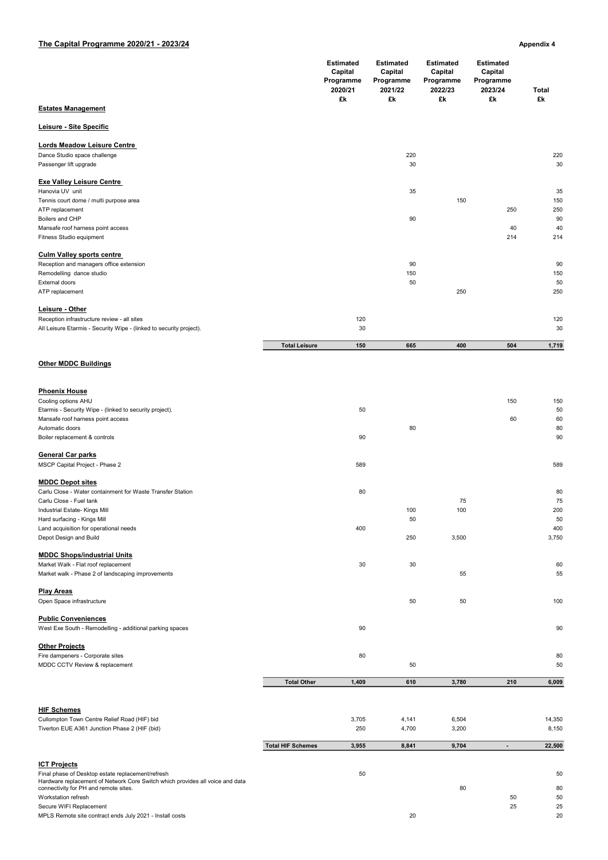## The Capital Programme 2020/21 - 2023/24 Appendix 4

|                                                                     |                      | <b>Estimated</b><br><b>Capital</b><br>Programme<br>2020/21<br>£k | <b>Estimated</b><br><b>Capital</b><br>Programme<br>2021/22<br>£k | <b>Estimated</b><br>Capital<br>Programme<br>2022/23<br>£k | <b>Estimated</b><br>Capital<br>Programme<br>2023/24<br>£k | <b>Total</b><br>£k |
|---------------------------------------------------------------------|----------------------|------------------------------------------------------------------|------------------------------------------------------------------|-----------------------------------------------------------|-----------------------------------------------------------|--------------------|
| <b>Estates Management</b>                                           |                      |                                                                  |                                                                  |                                                           |                                                           |                    |
| Leisure - Site Specific                                             |                      |                                                                  |                                                                  |                                                           |                                                           |                    |
| <b>Lords Meadow Leisure Centre</b>                                  |                      |                                                                  |                                                                  |                                                           |                                                           |                    |
| Dance Studio space challenge                                        |                      |                                                                  | 220                                                              |                                                           |                                                           | 220                |
| Passenger lift upgrade                                              |                      |                                                                  | 30                                                               |                                                           |                                                           | 30                 |
| <b>Exe Valley Leisure Centre</b>                                    |                      |                                                                  |                                                                  |                                                           |                                                           |                    |
| Hanovia UV unit                                                     |                      |                                                                  | 35                                                               |                                                           |                                                           | 35                 |
| Tennis court dome / multi purpose area                              |                      |                                                                  |                                                                  | 150                                                       |                                                           | 150                |
| ATP replacement                                                     |                      |                                                                  |                                                                  |                                                           | 250                                                       | 250                |
| Boilers and CHP                                                     |                      |                                                                  | 90                                                               |                                                           |                                                           | 90                 |
| Mansafe roof harness point access                                   |                      |                                                                  |                                                                  |                                                           | 40                                                        | 40                 |
| Fitness Studio equipment                                            |                      |                                                                  |                                                                  |                                                           | 214                                                       | 214                |
| <b>Culm Valley sports centre</b>                                    |                      |                                                                  |                                                                  |                                                           |                                                           |                    |
| Reception and managers office extension                             |                      |                                                                  | 90                                                               |                                                           |                                                           | 90                 |
| Remodelling dance studio                                            |                      |                                                                  | 150                                                              |                                                           |                                                           | 150                |
| External doors                                                      |                      |                                                                  | 50                                                               |                                                           |                                                           | 50                 |
| ATP replacement                                                     |                      |                                                                  |                                                                  | 250                                                       |                                                           | 250                |
| Leisure - Other                                                     |                      |                                                                  |                                                                  |                                                           |                                                           |                    |
| Reception infrastructure review - all sites                         |                      | 120                                                              |                                                                  |                                                           |                                                           | 120                |
| All Leisure Etarmis - Security Wipe - (linked to security project). |                      | 30                                                               |                                                                  |                                                           |                                                           | 30                 |
|                                                                     | <b>Total Leisure</b> | 150                                                              | 665                                                              | 400                                                       | 504                                                       | 1,719              |
| <b>Other MDDC Buildings</b>                                         |                      |                                                                  |                                                                  |                                                           |                                                           |                    |

| <b>Phoenix House</b>                                       |     |     |       |     |       |
|------------------------------------------------------------|-----|-----|-------|-----|-------|
| Cooling options AHU                                        |     |     |       | 150 | 150   |
| Etarmis - Security Wipe - (linked to security project).    | 50  |     |       |     | 50    |
| Mansafe roof harness point access                          |     |     |       | 60  | 60    |
| Automatic doors                                            |     | 80  |       |     | 80    |
| Boiler replacement & controls                              | 90  |     |       |     | 90    |
| <b>General Car parks</b>                                   |     |     |       |     |       |
| MSCP Capital Project - Phase 2                             | 589 |     |       |     | 589   |
| <b>MDDC Depot sites</b>                                    |     |     |       |     |       |
| Carlu Close - Water containment for Waste Transfer Station | 80  |     |       |     | 80    |
| Carlu Close - Fuel tank                                    |     |     | 75    |     | 75    |
| Industrial Estate- Kings Mill                              |     | 100 | 100   |     | 200   |
| Hard surfacing - Kings Mill                                |     | 50  |       |     | 50    |
| Land acquisition for operational needs                     | 400 |     |       |     | 400   |
| Depot Design and Build                                     |     | 250 | 3,500 |     | 3,750 |
| <b>MDDC Shops/industrial Units</b>                         |     |     |       |     |       |
| Market Walk - Flat roof replacement                        | 30  | 30  |       |     | 60    |
| Market walk - Phase 2 of landscaping improvements          |     |     | 55    |     | 55    |
| <b>Play Areas</b>                                          |     |     |       |     |       |
| Open Space infrastructure                                  |     | 50  | 50    |     | 100   |
| <b>Public Conveniences</b>                                 |     |     |       |     |       |

West Exe South - Remodelling - additional parking spaces 90 90 90

| Fire dampeners - Corporate sites                                                                                                   |                          | 80    |       |       |     | 80     |
|------------------------------------------------------------------------------------------------------------------------------------|--------------------------|-------|-------|-------|-----|--------|
| MDDC CCTV Review & replacement                                                                                                     |                          |       | 50    |       |     | 50     |
|                                                                                                                                    | <b>Total Other</b>       | 1,409 | 610   | 3,780 | 210 | 6,009  |
|                                                                                                                                    |                          |       |       |       |     |        |
| <b>HIF Schemes</b>                                                                                                                 |                          | 3,705 | 4,141 | 6,504 |     | 14,350 |
| Cullompton Town Centre Relief Road (HIF) bid                                                                                       |                          |       |       |       |     |        |
| Tiverton EUE A361 Junction Phase 2 (HIF (bid)                                                                                      |                          | 250   | 4,700 | 3,200 |     | 8,150  |
|                                                                                                                                    | <b>Total HIF Schemes</b> | 3,955 | 8,841 | 9,704 |     | 22,500 |
| <b>ICT Projects</b>                                                                                                                |                          |       |       |       |     |        |
| Final phase of Desktop estate replacement/refresh<br>Hardware replacement of Network Core Switch which provides all voice and data |                          | 50    |       |       |     | 50     |
| connectivity for PH and remote sites.                                                                                              |                          |       |       | 80    |     | 80     |
| Workstation refresh                                                                                                                |                          |       |       |       | 50  | 50     |
| Secure WIFI Replacement                                                                                                            |                          |       |       |       | 25  | 25     |
| MPLS Remote site contract ends July 2021 - Install costs                                                                           |                          |       | 20    |       |     | 20     |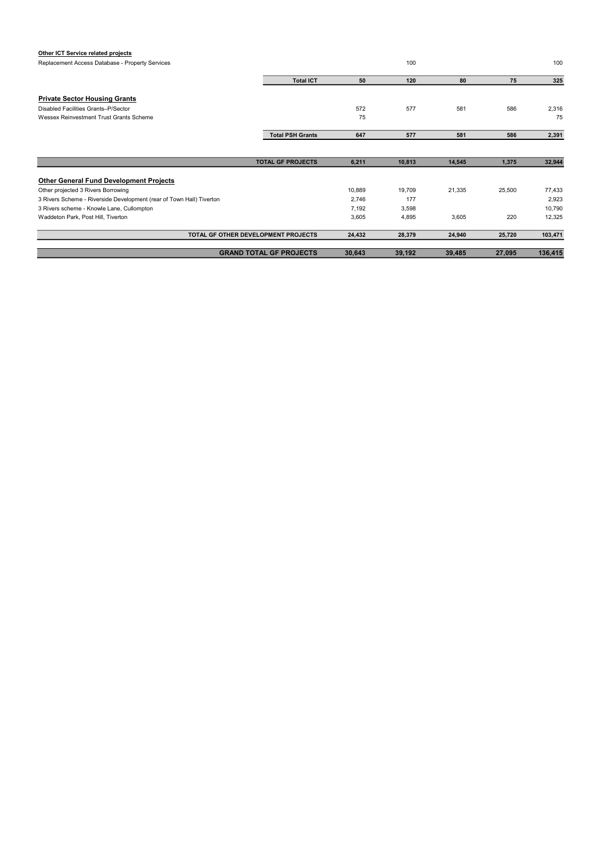### **Other ICT Service related projects**

| Replacement Access Database - Property Services                      |                          |        | 100    |        |        | 100     |
|----------------------------------------------------------------------|--------------------------|--------|--------|--------|--------|---------|
|                                                                      | <b>Total ICT</b>         | 50     | 120    | 80     | 75     | 325     |
| <b>Private Sector Housing Grants</b>                                 |                          |        |        |        |        |         |
| Disabled Facilities Grants-P/Sector                                  |                          | 572    | 577    | 581    | 586    | 2,316   |
| Wessex Reinvestment Trust Grants Scheme                              |                          | 75     |        |        |        | 75      |
|                                                                      |                          |        |        |        |        |         |
|                                                                      | <b>Total PSH Grants</b>  | 647    | 577    | 581    | 586    | 2,391   |
|                                                                      |                          |        |        |        |        |         |
|                                                                      | <b>TOTAL GF PROJECTS</b> | 6,211  | 10,813 | 14,545 | 1,375  | 32,944  |
| <b>Other General Fund Development Projects</b>                       |                          |        |        |        |        |         |
| Other projected 3 Rivers Borrowing                                   |                          | 10,889 | 19,709 | 21,335 | 25,500 | 77,433  |
| 3 Rivers Scheme - Riverside Development (rear of Town Hall) Tiverton |                          | 2,746  | 177    |        |        | 2,923   |
| 3 Rivers scheme - Knowle Lane, Cullompton                            |                          | 7,192  | 3,598  |        |        | 10,790  |
| Waddeton Park, Post Hill, Tiverton                                   |                          | 3,605  | 4,895  | 3,605  | 220    | 12,325  |
| <b>TOTAL GF OTHER DEVELOPMENT PROJECTS</b>                           |                          | 24,432 | 28,379 | 24,940 | 25,720 | 103,471 |

| <b>GRAND TOTAL GF PROJECTS</b> | 30.643 | 39.192 | 39.485 | 27,095 | 136.415 |
|--------------------------------|--------|--------|--------|--------|---------|